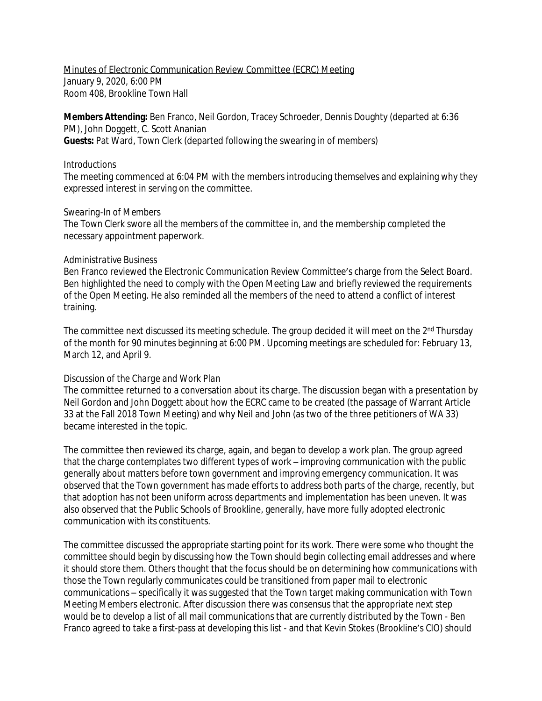Minutes of Electronic Communication Review Committee (ECRC) Meeting January 9, 2020, 6:00 PM Room 408, Brookline Town Hall

**Members Attending:** Ben Franco, Neil Gordon, Tracey Schroeder, Dennis Doughty (departed at 6:36 PM), John Doggett, C. Scott Ananian **Guests:** Pat Ward, Town Clerk (departed following the swearing in of members)

## *Introductions*

The meeting commenced at 6:04 PM with the members introducing themselves and explaining why they expressed interest in serving on the committee.

## *Swearing-In of Members*

The Town Clerk swore all the members of the committee in, and the membership completed the necessary appointment paperwork.

## *Administrative Business*

Ben Franco reviewed the Electronic Communication Review Committee's charge from the Select Board. Ben highlighted the need to comply with the Open Meeting Law and briefly reviewed the requirements of the Open Meeting. He also reminded all the members of the need to attend a conflict of interest training.

The committee next discussed its meeting schedule. The group decided it will meet on the 2<sup>nd</sup> Thursday of the month for 90 minutes beginning at 6:00 PM. Upcoming meetings are scheduled for: February 13, March 12, and April 9.

## *Discussion of the Charge and Work Plan*

The committee returned to a conversation about its charge. The discussion began with a presentation by Neil Gordon and John Doggett about how the ECRC came to be created (the passage of Warrant Article 33 at the Fall 2018 Town Meeting) and why Neil and John (as two of the three petitioners of WA 33) became interested in the topic.

The committee then reviewed its charge, again, and began to develop a work plan. The group agreed that the charge contemplates two different types of work – improving communication with the public generally about matters before town government and improving emergency communication. It was observed that the Town government has made efforts to address both parts of the charge, recently, but that adoption has not been uniform across departments and implementation has been uneven. It was also observed that the Public Schools of Brookline, generally, have more fully adopted electronic communication with its constituents.

The committee discussed the appropriate starting point for its work. There were some who thought the committee should begin by discussing how the Town should begin collecting email addresses and where it should store them. Others thought that the focus should be on determining how communications with those the Town regularly communicates could be transitioned from paper mail to electronic communications – specifically it was suggested that the Town target making communication with Town Meeting Members electronic. After discussion there was consensus that the appropriate next step would be to develop a list of all mail communications that are currently distributed by the Town - Ben Franco agreed to take a first-pass at developing this list - and that Kevin Stokes (Brookline's CIO) should